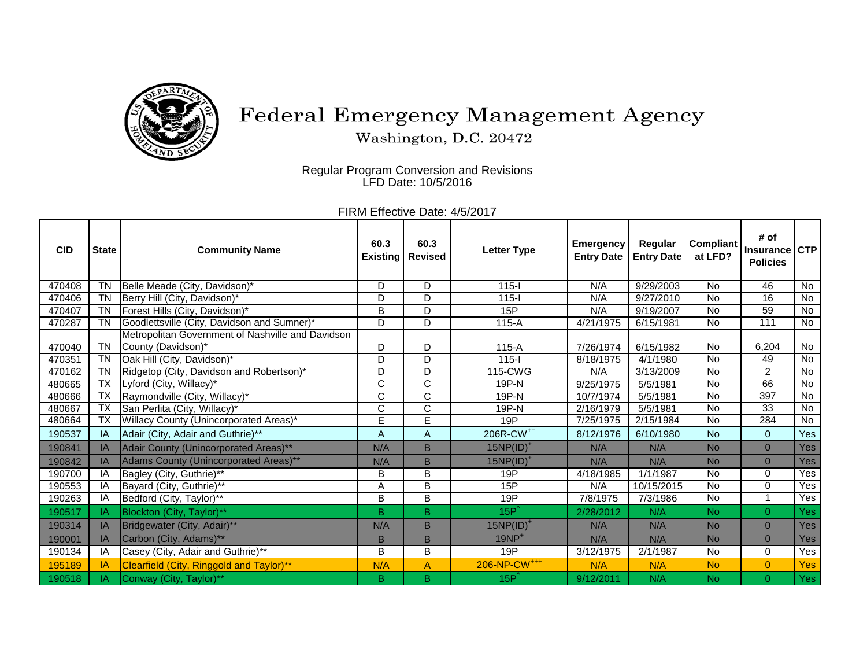

## Federal Emergency Management Agency

Washington, D.C. 20472

Regular Program Conversion and Revisions LFD Date: 10/5/2016

| FIRM Effective Date: 4/5/2017 |  |
|-------------------------------|--|
|-------------------------------|--|

| <b>CID</b> | <b>State</b> | <b>Community Name</b>                             | 60.3<br>Existing | 60.3<br><b>Revised</b> | <b>Letter Type</b>       | <b>Emergency</b><br><b>Entry Date</b> | Regular<br><b>Entry Date</b> | Compliant<br>at LFD? | # of<br><b>Insurance</b><br><b>Policies</b> | <b>CTP</b>     |
|------------|--------------|---------------------------------------------------|------------------|------------------------|--------------------------|---------------------------------------|------------------------------|----------------------|---------------------------------------------|----------------|
| 470408     | <b>TN</b>    | Belle Meade (City, Davidson)*                     | D                | D                      | $115 -$                  | N/A                                   | 9/29/2003                    | No                   | 46                                          | No             |
| 470406     | <b>TN</b>    | Berry Hill (City, Davidson)*                      | D                | D                      | $115 -$                  | N/A                                   | 9/27/2010                    | <b>No</b>            | 16                                          | <b>No</b>      |
| 470407     | <b>TN</b>    | Forest Hills (City, Davidson)*                    | B                | D                      | 15P                      | N/A                                   | 9/19/2007                    | No                   | 59                                          | No             |
| 470287     | <b>TN</b>    | Goodlettsville (City, Davidson and Sumner)*       | D                | D                      | $115-A$                  | 4/21/1975                             | 6/15/1981                    | <b>No</b>            | 111                                         | $\overline{N}$ |
|            |              | Metropolitan Government of Nashville and Davidson |                  |                        |                          |                                       |                              |                      |                                             |                |
| 470040     | <b>TN</b>    | County (Davidson)*                                | D                | D                      | $115-A$                  | 7/26/1974                             | 6/15/1982                    | <b>No</b>            | 6,204                                       | No             |
| 470351     | <b>TN</b>    | Oak Hill (City, Davidson)*                        | D                | D                      | $115 -$                  | 8/18/1975                             | 4/1/1980                     | <b>No</b>            | 49                                          | No             |
| 470162     | <b>TN</b>    | Ridgetop (City, Davidson and Robertson)*          | D                | D                      | 115-CWG                  | N/A                                   | 3/13/2009                    | <b>No</b>            | 2                                           | $\overline{N}$ |
| 480665     | TX           | Lyford (City, Willacy)*                           | C                | C                      | 19P-N                    | 9/25/1975                             | 5/5/1981                     | No                   | 66                                          | No             |
| 480666     | <b>TX</b>    | Raymondville (City, Willacy)*                     | C                | $\overline{C}$         | 19P-N                    | 10/7/1974                             | 5/5/1981                     | <b>No</b>            | 397                                         | $\overline{N}$ |
| 480667     | <b>TX</b>    | San Perlita (City, Willacy)*                      | C                | $\overline{C}$         | 19P-N                    | 2/16/1979                             | 5/5/1981                     | <b>No</b>            | 33                                          | No             |
| 480664     | <b>TX</b>    | Willacy County (Unincorporated Areas)*            | E                | Ē                      | 19P                      | 7/25/1975                             | 2/15/1984                    | <b>No</b>            | 284                                         | No             |
| 190537     | IA           | Adair (City, Adair and Guthrie)**                 | A                | A                      | 206R-CW <sup>++</sup>    | 8/12/1976                             | 6/10/1980                    | <b>No</b>            | $\mathbf{0}$                                | Yes            |
| 190841     | IA           | Adair County (Unincorporated Areas)**             | N/A              | B                      | $15NP(ID)^+$             | N/A                                   | N/A                          | <b>No</b>            | $\mathbf{0}$                                | Yes            |
| 190842     | IA           | Adams County (Unincorporated Areas)**             | N/A              | B                      | $15NP(ID)^+$             | N/A                                   | N/A                          | <b>No</b>            | $\Omega$                                    | Yes            |
| 190700     | IA           | Bagley (City, Guthrie)**                          | B                | B                      | 19P                      | 4/18/1985                             | 1/1/1987                     | <b>No</b>            | 0                                           | Yes            |
| 190553     | IA           | Bayard (City, Guthrie)**                          | Α                | B                      | 15P                      | N/A                                   | 10/15/2015                   | <b>No</b>            | $\mathbf 0$                                 | Yes            |
| 190263     | IA           | Bedford (City, Taylor)**                          | B                | B                      | 19P                      | 7/8/1975                              | 7/3/1986                     | <b>No</b>            | $\overline{1}$                              | Yes            |
| 190517     | IA.          | Blockton (City, Taylor)**                         | B                | B.                     | $15P^2$                  | 2/28/2012                             | N/A                          | <b>No</b>            | $\Omega$                                    | Yes            |
| 190314     | IA           | Bridgewater (City, Adair)**                       | N/A              | B                      | $15NP(ID)^+$             | N/A                                   | N/A                          | <b>No</b>            | $\mathbf{0}$                                | Yes            |
| 190001     | IA           | Carbon (City, Adams)**                            | B                | B                      | $19NP+$                  | N/A                                   | N/A                          | <b>No</b>            | $\Omega$                                    | Yes            |
| 190134     | IA           | Casey (City, Adair and Guthrie)**                 | B                | B                      | 19P                      | 3/12/1975                             | 2/1/1987                     | <b>No</b>            | 0                                           | Yes            |
| 195189     | IA           | Clearfield (City, Ringgold and Taylor)**          | N/A              | A                      | 206-NP-CW <sup>+++</sup> | N/A                                   | N/A                          | <b>No</b>            | $\overline{0}$                              | Yes            |
| 190518     | ΙA           | Conway (City, Taylor)**                           | B.               | B                      | $15P^2$                  | 9/12/2011                             | N/A                          | <b>No</b>            | $\Omega$                                    | Yes            |